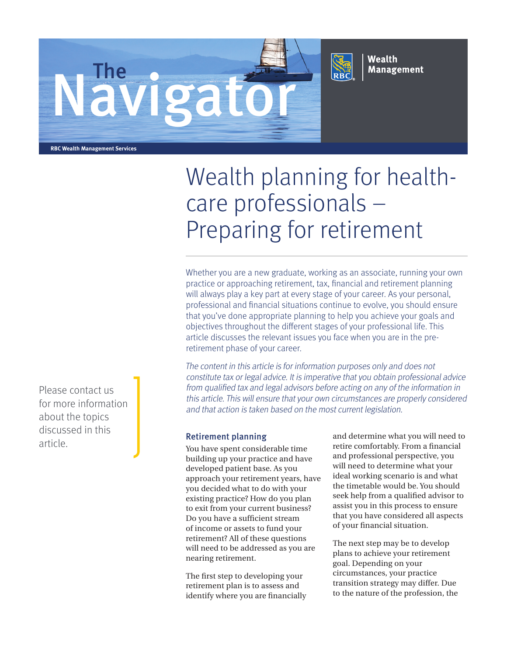



Wealth **Management** 

**RBC Wealth Management Services**

# Wealth planning for healthcare professionals – Preparing for retirement

Whether you are a new graduate, working as an associate, running your own practice or approaching retirement, tax, financial and retirement planning will always play a key part at every stage of your career. As your personal, professional and financial situations continue to evolve, you should ensure that you've done appropriate planning to help you achieve your goals and objectives throughout the different stages of your professional life. This article discusses the relevant issues you face when you are in the preretirement phase of your career.

The content in this article is for information purposes only and does not constitute tax or legal advice. It is imperative that you obtain professional advice from qualified tax and legal advisors before acting on any of the information in this article. This will ensure that your own circumstances are properly considered and that action is taken based on the most current legislation.

You have spent considerable time building up your practice and have developed patient base. As you approach your retirement years, have you decided what to do with your existing practice? How do you plan to exit from your current business? Do you have a sufficient stream of income or assets to fund your retirement? All of these questions will need to be addressed as you are nearing retirement.

The first step to developing your retirement plan is to assess and identify where you are financially and determine what you will need to retire comfortably. From a financial and professional perspective, you will need to determine what your ideal working scenario is and what the timetable would be. You should seek help from a qualified advisor to assist you in this process to ensure that you have considered all aspects of your financial situation.

The next step may be to develop plans to achieve your retirement goal. Depending on your circumstances, your practice transition strategy may differ. Due to the nature of the profession, the

Please contact us for more information about the topics discussed in this article **and the contract of the Retirement planning**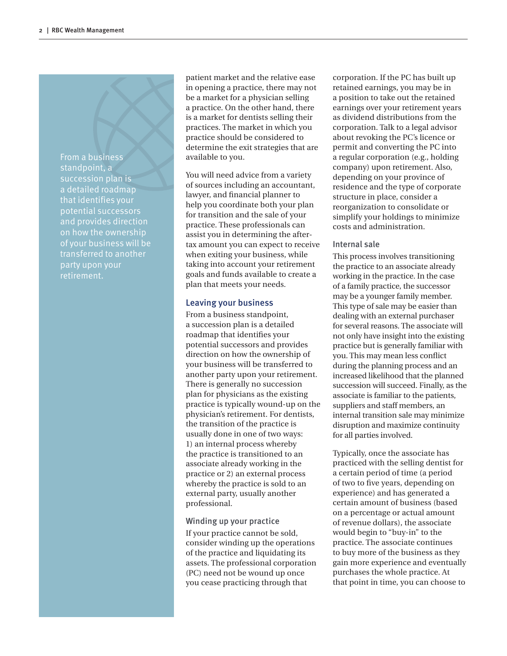From a business standpoint, a succession plan is a detailed roadmap that identifies your potential successors and provides direction of your business will be transferred to another party upon your retirement.

patient market and the relative ease in opening a practice, there may not be a market for a physician selling a practice. On the other hand, there is a market for dentists selling their practices. The market in which you practice should be considered to determine the exit strategies that are available to you.

You will need advice from a variety of sources including an accountant, lawyer, and financial planner to help you coordinate both your plan for transition and the sale of your practice. These professionals can assist you in determining the aftertax amount you can expect to receive when exiting your business, while taking into account your retirement goals and funds available to create a plan that meets your needs.

#### Leaving your business

From a business standpoint, a succession plan is a detailed roadmap that identifies your potential successors and provides direction on how the ownership of your business will be transferred to another party upon your retirement. There is generally no succession plan for physicians as the existing practice is typically wound-up on the physician's retirement. For dentists, the transition of the practice is usually done in one of two ways: 1) an internal process whereby the practice is transitioned to an associate already working in the practice or 2) an external process whereby the practice is sold to an external party, usually another professional.

#### Winding up your practice

If your practice cannot be sold, consider winding up the operations of the practice and liquidating its assets. The professional corporation (PC) need not be wound up once you cease practicing through that

corporation. If the PC has built up retained earnings, you may be in a position to take out the retained earnings over your retirement years as dividend distributions from the corporation. Talk to a legal advisor about revoking the PC's licence or permit and converting the PC into a regular corporation (e.g., holding company) upon retirement. Also, depending on your province of residence and the type of corporate structure in place, consider a reorganization to consolidate or simplify your holdings to minimize costs and administration.

#### Internal sale

This process involves transitioning the practice to an associate already working in the practice. In the case of a family practice, the successor may be a younger family member. This type of sale may be easier than dealing with an external purchaser for several reasons. The associate will not only have insight into the existing practice but is generally familiar with you. This may mean less conflict during the planning process and an increased likelihood that the planned succession will succeed. Finally, as the associate is familiar to the patients, suppliers and staff members, an internal transition sale may minimize disruption and maximize continuity for all parties involved.

Typically, once the associate has practiced with the selling dentist for a certain period of time (a period of two to five years, depending on experience) and has generated a certain amount of business (based on a percentage or actual amount of revenue dollars), the associate would begin to "buy-in" to the practice. The associate continues to buy more of the business as they gain more experience and eventually purchases the whole practice. At that point in time, you can choose to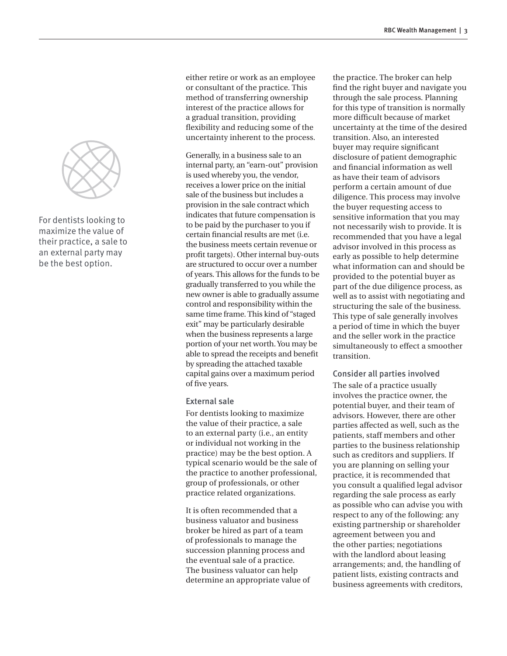

For dentists looking to maximize the value of their practice, a sale to an external party may be the best option.

either retire or work as an employee or consultant of the practice. This method of transferring ownership interest of the practice allows for a gradual transition, providing flexibility and reducing some of the uncertainty inherent to the process.

Generally, in a business sale to an internal party, an "earn-out" provision is used whereby you, the vendor, receives a lower price on the initial sale of the business but includes a provision in the sale contract which indicates that future compensation is to be paid by the purchaser to you if certain financial results are met (i.e. the business meets certain revenue or profit targets). Other internal buy-outs are structured to occur over a number of years. This allows for the funds to be gradually transferred to you while the new owner is able to gradually assume control and responsibility within the same time frame. This kind of "staged exit" may be particularly desirable when the business represents a large portion of your net worth. You may be able to spread the receipts and benefit by spreading the attached taxable capital gains over a maximum period of five years.

#### External sale

For dentists looking to maximize the value of their practice, a sale to an external party (i.e., an entity or individual not working in the practice) may be the best option. A typical scenario would be the sale of the practice to another professional, group of professionals, or other practice related organizations.

It is often recommended that a business valuator and business broker be hired as part of a team of professionals to manage the succession planning process and the eventual sale of a practice. The business valuator can help determine an appropriate value of the practice. The broker can help find the right buyer and navigate you through the sale process. Planning for this type of transition is normally more difficult because of market uncertainty at the time of the desired transition. Also, an interested buyer may require significant disclosure of patient demographic and financial information as well as have their team of advisors perform a certain amount of due diligence. This process may involve the buyer requesting access to sensitive information that you may not necessarily wish to provide. It is recommended that you have a legal advisor involved in this process as early as possible to help determine what information can and should be provided to the potential buyer as part of the due diligence process, as well as to assist with negotiating and structuring the sale of the business. This type of sale generally involves a period of time in which the buyer and the seller work in the practice simultaneously to effect a smoother transition.

Consider all parties involved The sale of a practice usually involves the practice owner, the potential buyer, and their team of advisors. However, there are other parties affected as well, such as the patients, staff members and other parties to the business relationship such as creditors and suppliers. If you are planning on selling your practice, it is recommended that you consult a qualified legal advisor regarding the sale process as early as possible who can advise you with respect to any of the following: any existing partnership or shareholder agreement between you and the other parties; negotiations with the landlord about leasing arrangements; and, the handling of patient lists, existing contracts and business agreements with creditors,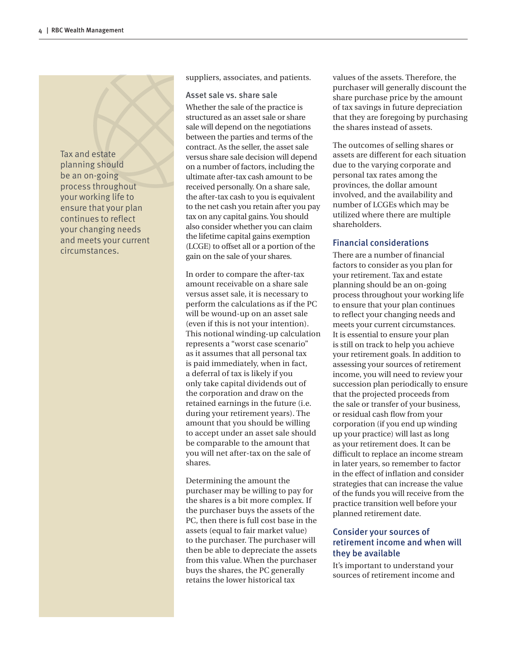Tax and estate planning should be an on-going process throughout your working life to ensure that your plan continues to reflect your changing needs and meets your current circumstances.

suppliers, associates, and patients.

Asset sale vs. share sale Whether the sale of the practice is structured as an asset sale or share sale will depend on the negotiations between the parties and terms of the contract. As the seller, the asset sale versus share sale decision will depend on a number of factors, including the ultimate after-tax cash amount to be received personally. On a share sale, the after-tax cash to you is equivalent to the net cash you retain after you pay tax on any capital gains. You should also consider whether you can claim the lifetime capital gains exemption (LCGE) to offset all or a portion of the gain on the sale of your shares.

In order to compare the after-tax amount receivable on a share sale versus asset sale, it is necessary to perform the calculations as if the PC will be wound-up on an asset sale (even if this is not your intention). This notional winding-up calculation represents a "worst case scenario" as it assumes that all personal tax is paid immediately, when in fact, a deferral of tax is likely if you only take capital dividends out of the corporation and draw on the retained earnings in the future (i.e. during your retirement years). The amount that you should be willing to accept under an asset sale should be comparable to the amount that you will net after-tax on the sale of shares.

Determining the amount the purchaser may be willing to pay for the shares is a bit more complex. If the purchaser buys the assets of the PC, then there is full cost base in the assets (equal to fair market value) to the purchaser. The purchaser will then be able to depreciate the assets from this value. When the purchaser buys the shares, the PC generally retains the lower historical tax

values of the assets. Therefore, the purchaser will generally discount the share purchase price by the amount of tax savings in future depreciation that they are foregoing by purchasing the shares instead of assets.

The outcomes of selling shares or assets are different for each situation due to the varying corporate and personal tax rates among the provinces, the dollar amount involved, and the availability and number of LCGEs which may be utilized where there are multiple shareholders.

# Financial considerations

There are a number of financial factors to consider as you plan for your retirement. Tax and estate planning should be an on-going process throughout your working life to ensure that your plan continues to reflect your changing needs and meets your current circumstances. It is essential to ensure your plan is still on track to help you achieve your retirement goals. In addition to assessing your sources of retirement income, you will need to review your succession plan periodically to ensure that the projected proceeds from the sale or transfer of your business, or residual cash flow from your corporation (if you end up winding up your practice) will last as long as your retirement does. It can be difficult to replace an income stream in later years, so remember to factor in the effect of inflation and consider strategies that can increase the value of the funds you will receive from the practice transition well before your planned retirement date.

# Consider your sources of retirement income and when will they be available

It's important to understand your sources of retirement income and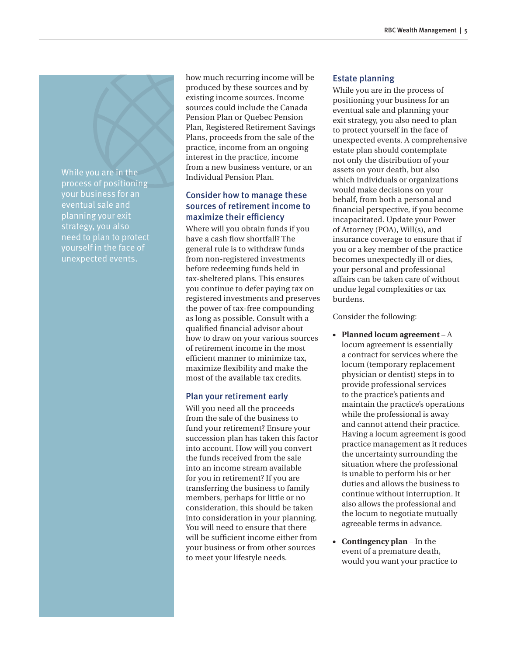While you are in the process of positioning your business for an eventual sale and planning your exit strategy, you also need to plan to protect yourself in the face of unexpected events.

how much recurring income will be produced by these sources and by existing income sources. Income sources could include the Canada Pension Plan or Quebec Pension Plan, Registered Retirement Savings Plans, proceeds from the sale of the practice, income from an ongoing interest in the practice, income from a new business venture, or an Individual Pension Plan.

# Consider how to manage these sources of retirement income to maximize their efficiency

Where will you obtain funds if you have a cash flow shortfall? The general rule is to withdraw funds from non-registered investments before redeeming funds held in tax-sheltered plans. This ensures you continue to defer paying tax on registered investments and preserves the power of tax-free compounding as long as possible. Consult with a qualified financial advisor about how to draw on your various sources of retirement income in the most efficient manner to minimize tax, maximize flexibility and make the most of the available tax credits.

# Plan your retirement early

Will you need all the proceeds from the sale of the business to fund your retirement? Ensure your succession plan has taken this factor into account. How will you convert the funds received from the sale into an income stream available for you in retirement? If you are transferring the business to family members, perhaps for little or no consideration, this should be taken into consideration in your planning. You will need to ensure that there will be sufficient income either from your business or from other sources to meet your lifestyle needs.

### Estate planning

While you are in the process of positioning your business for an eventual sale and planning your exit strategy, you also need to plan to protect yourself in the face of unexpected events. A comprehensive estate plan should contemplate not only the distribution of your assets on your death, but also which individuals or organizations would make decisions on your behalf, from both a personal and financial perspective, if you become incapacitated. Update your Power of Attorney (POA), Will(s), and insurance coverage to ensure that if you or a key member of the practice becomes unexpectedly ill or dies, your personal and professional affairs can be taken care of without undue legal complexities or tax burdens.

Consider the following:

- **Planned locum agreement** A locum agreement is essentially a contract for services where the locum (temporary replacement physician or dentist) steps in to provide professional services to the practice's patients and maintain the practice's operations while the professional is away and cannot attend their practice. Having a locum agreement is good practice management as it reduces the uncertainty surrounding the situation where the professional is unable to perform his or her duties and allows the business to continue without interruption. It also allows the professional and the locum to negotiate mutually agreeable terms in advance.
- **Contingency plan** In the event of a premature death, would you want your practice to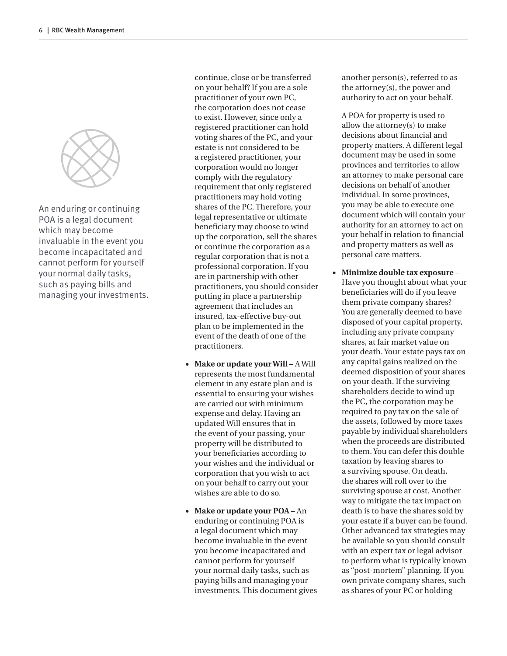

An enduring or continuing POA is a legal document which may become invaluable in the event you become incapacitated and cannot perform for yourself your normal daily tasks, such as paying bills and managing your investments. continue, close or be transferred on your behalf? If you are a sole practitioner of your own PC, the corporation does not cease to exist. However, since only a registered practitioner can hold voting shares of the PC, and your estate is not considered to be a registered practitioner, your corporation would no longer comply with the regulatory requirement that only registered practitioners may hold voting shares of the PC. Therefore, your legal representative or ultimate beneficiary may choose to wind up the corporation, sell the shares or continue the corporation as a regular corporation that is not a professional corporation. If you are in partnership with other practitioners, you should consider putting in place a partnership agreement that includes an insured, tax-effective buy-out plan to be implemented in the event of the death of one of the practitioners.

- **Make or update your Will** A Will represents the most fundamental element in any estate plan and is essential to ensuring your wishes are carried out with minimum expense and delay. Having an updated Will ensures that in the event of your passing, your property will be distributed to your beneficiaries according to your wishes and the individual or corporation that you wish to act on your behalf to carry out your wishes are able to do so.
- **Make or update your POA** An enduring or continuing POA is a legal document which may become invaluable in the event you become incapacitated and cannot perform for yourself your normal daily tasks, such as paying bills and managing your investments. This document gives

another person(s), referred to as the attorney(s), the power and authority to act on your behalf.

A POA for property is used to allow the attorney(s) to make decisions about financial and property matters. A different legal document may be used in some provinces and territories to allow an attorney to make personal care decisions on behalf of another individual. In some provinces, you may be able to execute one document which will contain your authority for an attorney to act on your behalf in relation to financial and property matters as well as personal care matters.

● **Minimize double tax exposure** – Have you thought about what your beneficiaries will do if you leave them private company shares? You are generally deemed to have disposed of your capital property, including any private company shares, at fair market value on your death. Your estate pays tax on any capital gains realized on the deemed disposition of your shares on your death. If the surviving shareholders decide to wind up the PC, the corporation may be required to pay tax on the sale of the assets, followed by more taxes payable by individual shareholders when the proceeds are distributed to them. You can defer this double taxation by leaving shares to a surviving spouse. On death, the shares will roll over to the surviving spouse at cost. Another way to mitigate the tax impact on death is to have the shares sold by your estate if a buyer can be found. Other advanced tax strategies may be available so you should consult with an expert tax or legal advisor to perform what is typically known as "post-mortem" planning. If you own private company shares, such as shares of your PC or holding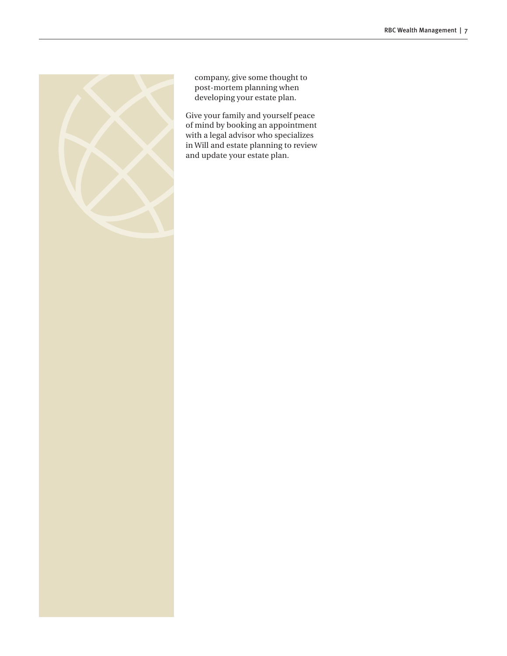

company, give some thought to post-mortem planning when developing your estate plan.

Give your family and yourself peace of mind by booking an appointment with a legal advisor who specializes in Will and estate planning to review and update your estate plan.